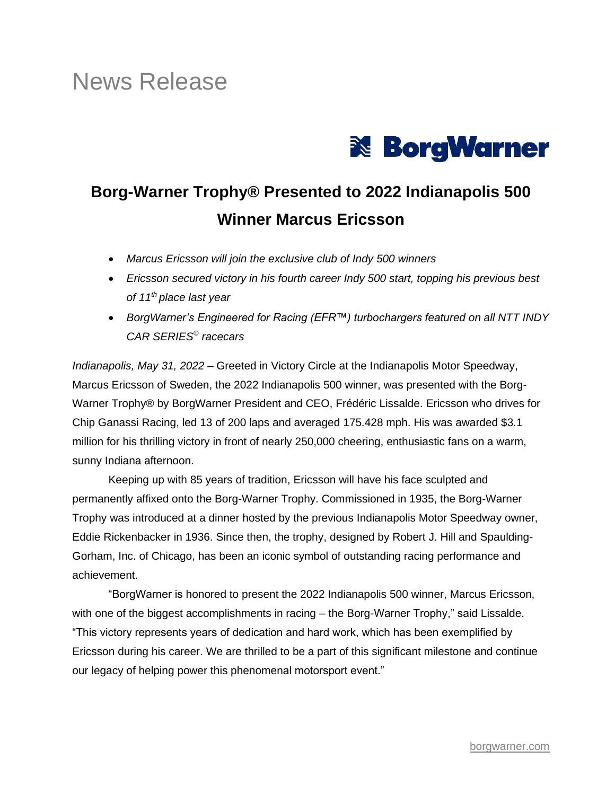# News Release



## **Borg-Warner Trophy® Presented to 2022 Indianapolis 500 Winner Marcus Ericsson**

- *Marcus Ericsson will join the exclusive club of Indy 500 winners*
- *Ericsson secured victory in his fourth career Indy 500 start, topping his previous best of 11th place last year*
- *BorgWarner's Engineered for Racing (EFR™) turbochargers featured on all NTT INDY CAR SERIES© racecars*

*Indianapolis, May 31, 2022* – Greeted in Victory Circle at the Indianapolis Motor Speedway, Marcus Ericsson of Sweden, the 2022 Indianapolis 500 winner, was presented with the Borg-Warner Trophy® by BorgWarner President and CEO, Frédéric Lissalde. Ericsson who drives for Chip Ganassi Racing, led 13 of 200 laps and averaged 175.428 mph. His was awarded \$3.1 million for his thrilling victory in front of nearly 250,000 cheering, enthusiastic fans on a warm, sunny Indiana afternoon.

Keeping up with 85 years of tradition, Ericsson will have his face sculpted and permanently affixed onto the Borg-Warner Trophy. Commissioned in 1935, the Borg-Warner Trophy was introduced at a dinner hosted by the previous Indianapolis Motor Speedway owner, Eddie Rickenbacker in 1936. Since then, the trophy, designed by Robert J. Hill and Spaulding-Gorham, Inc. of Chicago, has been an iconic symbol of outstanding racing performance and achievement.

"BorgWarner is honored to present the 2022 Indianapolis 500 winner, Marcus Ericsson, with one of the biggest accomplishments in racing – the Borg-Warner Trophy," said Lissalde. "This victory represents years of dedication and hard work, which has been exemplified by Ericsson during his career. We are thrilled to be a part of this significant milestone and continue our legacy of helping power this phenomenal motorsport event."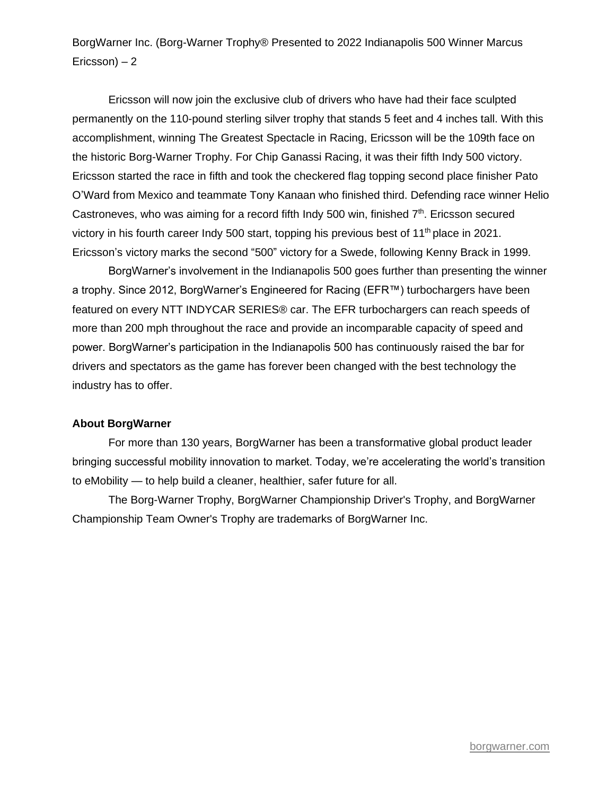BorgWarner Inc. (Borg-Warner Trophy® Presented to 2022 Indianapolis 500 Winner Marcus Ericsson) – 2

Ericsson will now join the exclusive club of drivers who have had their face sculpted permanently on the 110-pound sterling silver trophy that stands 5 feet and 4 inches tall. With this accomplishment, winning The Greatest Spectacle in Racing, Ericsson will be the 109th face on the historic Borg-Warner Trophy. For Chip Ganassi Racing, it was their fifth Indy 500 victory. Ericsson started the race in fifth and took the checkered flag topping second place finisher Pato O'Ward from Mexico and teammate Tony Kanaan who finished third. Defending race winner Helio Castroneves, who was aiming for a record fifth Indy 500 win, finished  $7<sup>th</sup>$ . Ericsson secured victory in his fourth career Indy 500 start, topping his previous best of 11<sup>th</sup> place in 2021. Ericsson's victory marks the second "500" victory for a Swede, following Kenny Brack in 1999.

BorgWarner's involvement in the Indianapolis 500 goes further than presenting the winner a trophy. Since 2012, BorgWarner's Engineered for Racing (EFR™) turbochargers have been featured on every NTT INDYCAR SERIES® car. The EFR turbochargers can reach speeds of more than 200 mph throughout the race and provide an incomparable capacity of speed and power. BorgWarner's participation in the Indianapolis 500 has continuously raised the bar for drivers and spectators as the game has forever been changed with the best technology the industry has to offer.

#### **About BorgWarner**

For more than 130 years, BorgWarner has been a transformative global product leader bringing successful mobility innovation to market. Today, we're accelerating the world's transition to eMobility — to help build a cleaner, healthier, safer future for all.

The Borg-Warner Trophy, BorgWarner Championship Driver's Trophy, and BorgWarner Championship Team Owner's Trophy are trademarks of BorgWarner Inc.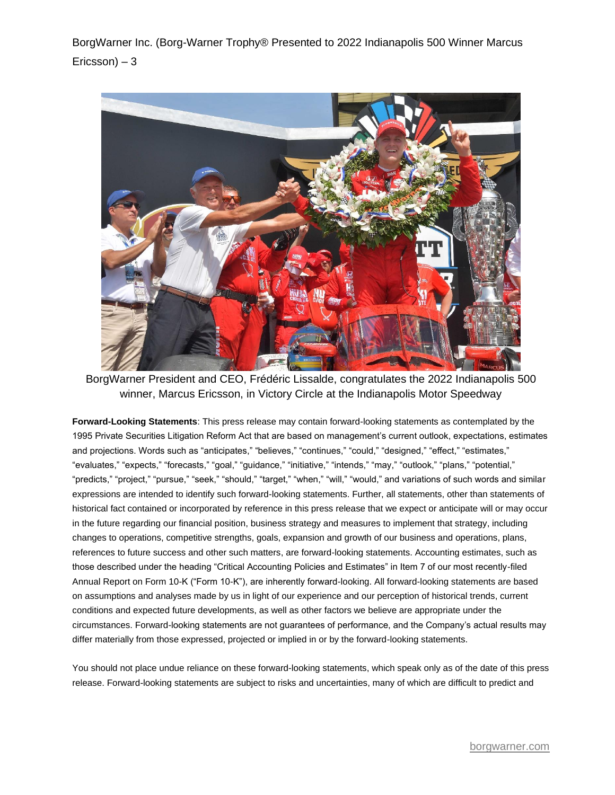BorgWarner Inc. (Borg-Warner Trophy® Presented to 2022 Indianapolis 500 Winner Marcus Ericsson) – 3



BorgWarner President and CEO, Frédéric Lissalde, congratulates the 2022 Indianapolis 500 winner, Marcus Ericsson, in Victory Circle at the Indianapolis Motor Speedway

**Forward-Looking Statements**: This press release may contain forward-looking statements as contemplated by the 1995 Private Securities Litigation Reform Act that are based on management's current outlook, expectations, estimates and projections. Words such as "anticipates," "believes," "continues," "could," "designed," "effect," "estimates," "evaluates," "expects," "forecasts," "goal," "guidance," "initiative," "intends," "may," "outlook," "plans," "potential," "predicts," "project," "pursue," "seek," "should," "target," "when," "will," "would," and variations of such words and similar expressions are intended to identify such forward-looking statements. Further, all statements, other than statements of historical fact contained or incorporated by reference in this press release that we expect or anticipate will or may occur in the future regarding our financial position, business strategy and measures to implement that strategy, including changes to operations, competitive strengths, goals, expansion and growth of our business and operations, plans, references to future success and other such matters, are forward-looking statements. Accounting estimates, such as those described under the heading "Critical Accounting Policies and Estimates" in Item 7 of our most recently-filed Annual Report on Form 10-K ("Form 10-K"), are inherently forward-looking. All forward-looking statements are based on assumptions and analyses made by us in light of our experience and our perception of historical trends, current conditions and expected future developments, as well as other factors we believe are appropriate under the circumstances. Forward-looking statements are not guarantees of performance, and the Company's actual results may differ materially from those expressed, projected or implied in or by the forward-looking statements.

You should not place undue reliance on these forward-looking statements, which speak only as of the date of this press release. Forward-looking statements are subject to risks and uncertainties, many of which are difficult to predict and